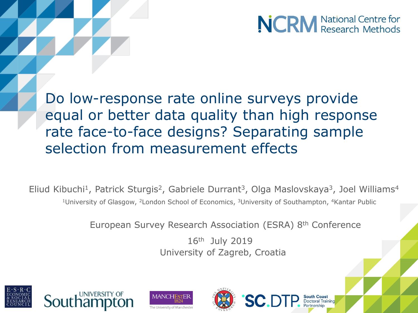

Do low-response rate online surveys provide equal or better data quality than high response rate face-to-face designs? Separating sample selection from measurement effects

Eliud Kibuchi<sup>1</sup>, Patrick Sturgis<sup>2</sup>, Gabriele Durrant<sup>3</sup>, Olga Maslovskaya<sup>3</sup>, Joel Williams<sup>4</sup> <sup>1</sup>University of Glasgow, <sup>2</sup>London School of Economics, <sup>3</sup>University of Southampton, <sup>4</sup>Kantar Public

European Survey Research Association (ESRA) 8th Conference

16th July 2019 University of Zagreb, Croatia







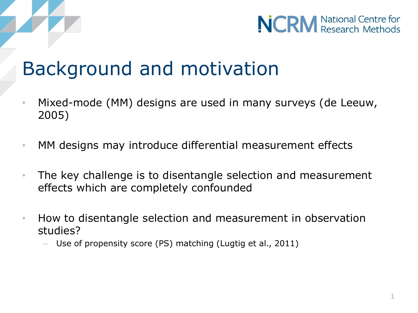



## Background and motivation

- Mixed-mode (MM) designs are used in many surveys (de Leeuw, 2005)
- MM designs may introduce differential measurement effects
- The key challenge is to disentangle selection and measurement effects which are completely confounded
- How to disentangle selection and measurement in observation studies?
	- Use of propensity score (PS) matching (Lugtig et al., 2011)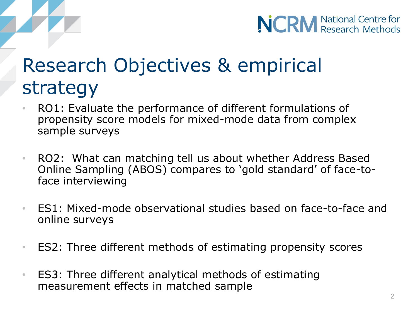

# Research Objectives & empirical strategy

- RO1: Evaluate the performance of different formulations of propensity score models for mixed-mode data from complex sample surveys
- RO2: What can matching tell us about whether Address Based Online Sampling (ABOS) compares to 'gold standard' of face-toface interviewing
- ES1: Mixed-mode observational studies based on face-to-face and online surveys
- ES2: Three different methods of estimating propensity scores
- ES3: Three different analytical methods of estimating measurement effects in matched sample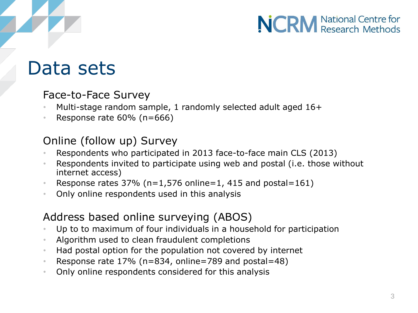### Data sets

#### Face-to-Face Survey

- Multi-stage random sample, 1 randomly selected adult aged 16+
- Response rate 60% (n=666)

#### Online (follow up) Survey

- Respondents who participated in 2013 face-to-face main CLS (2013)
- Respondents invited to participate using web and postal (i.e. those without internet access)
- Response rates  $37\%$  (n=1,576 online=1, 415 and postal=161)
- Only online respondents used in this analysis

#### Address based online surveying (ABOS)

- Up to to maximum of four individuals in a household for participation
- Algorithm used to clean fraudulent completions
- Had postal option for the population not covered by internet
- Response rate 17% (n=834, online=789 and postal=48)
- Only online respondents considered for this analysis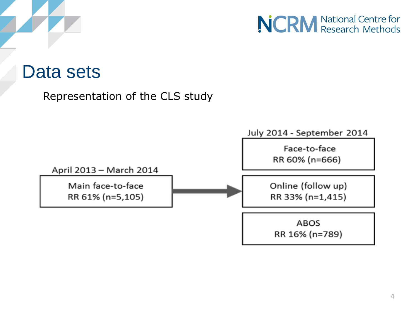



#### Data sets

Representation of the CLS study

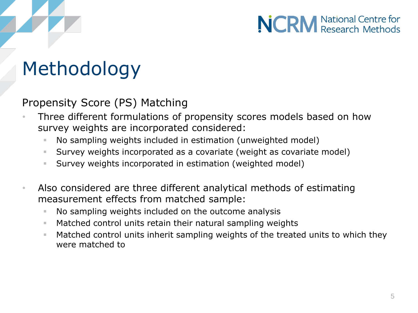# Methodology

#### Propensity Score (PS) Matching

- Three different formulations of propensity scores models based on how survey weights are incorporated considered:
	- No sampling weights included in estimation (unweighted model)
	- Survey weights incorporated as a covariate (weight as covariate model)
	- Survey weights incorporated in estimation (weighted model)
- Also considered are three different analytical methods of estimating measurement effects from matched sample:
	- No sampling weights included on the outcome analysis
	- **Matched control units retain their natural sampling weights**
	- **Matched control units inherit sampling weights of the treated units to which they** were matched to

**NCRM** National Centre for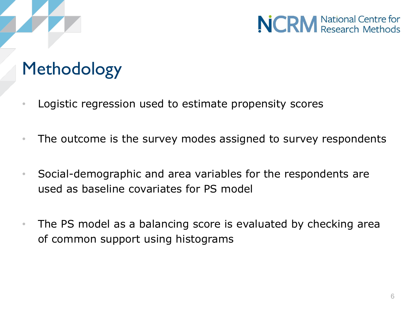# Methodology

- Logistic regression used to estimate propensity scores
- The outcome is the survey modes assigned to survey respondents
- Social-demographic and area variables for the respondents are used as baseline covariates for PS model
- The PS model as a balancing score is evaluated by checking area of common support using histograms

**NCRM** National Centre for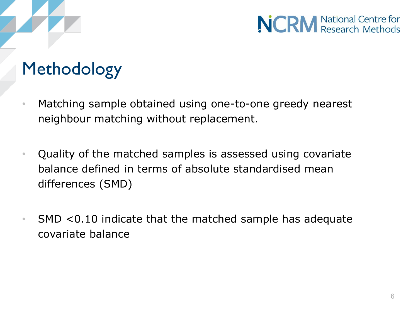### Methodology

- Matching sample obtained using one-to-one greedy nearest neighbour matching without replacement.
- Quality of the matched samples is assessed using covariate balance defined in terms of absolute standardised mean differences (SMD)
- SMD <0.10 indicate that the matched sample has adequate covariate balance

**NCRM** National Centre for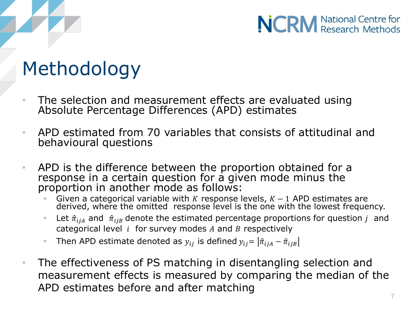# Methodology

- The selection and measurement effects are evaluated using Absolute Percentage Differences (APD) estimates
- APD estimated from 70 variables that consists of attitudinal and behavioural questions
- APD is the difference between the proportion obtained for a response in a certain question for a given mode minus the proportion in another mode as follows:
	- Given a categorical variable with K response levels,  $K 1$  APD estimates are derived, where the omitted response level is the one with the lowest frequency.
	- Let  $\hat{\pi}_{i}$  and  $\hat{\pi}_{i}$  denote the estimated percentage proportions for question *j* and categorical level  $i$  for survey modes  $A$  and  $B$  respectively
	- Then APD estimate denoted as  $y_{ij}$  is defined  $y_{ij} = |\hat{\pi}_{ijA} \hat{\pi}_{ijB}|$
- The effectiveness of PS matching in disentangling selection and measurement effects is measured by comparing the median of the APD estimates before and after matching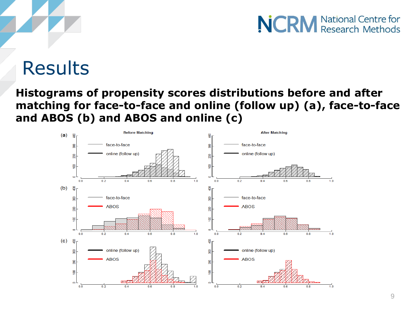### **Results**

#### **Histograms of propensity scores distributions before and after matching for face-to-face and online (follow up) (a), face-to-face and ABOS (b) and ABOS and online (c)**

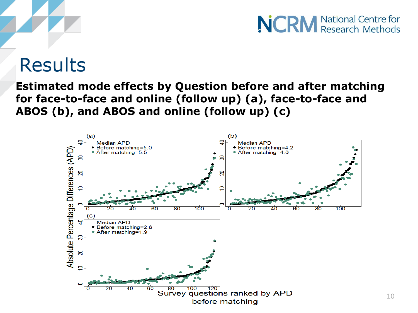### Results

#### **Estimated mode effects by Question before and after matching for face-to-face and online (follow up) (a), face-to-face and ABOS (b), and ABOS and online (follow up) (c)**

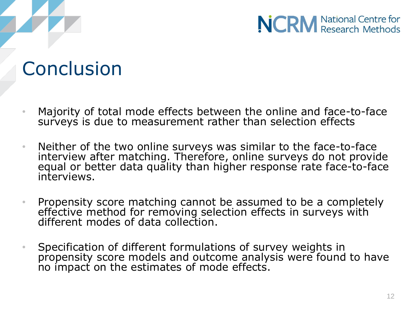### Conclusion

- Majority of total mode effects between the online and face-to-face surveys is due to measurement rather than selection effects
- Neither of the two online surveys was similar to the face-to-face interview after matching. Therefore, online surveys do not provide equal or better data quality than higher response rate face-to-face interviews.
- Propensity score matching cannot be assumed to be a completely effective method for removing selection effects in surveys with different modes of data collection.
- Specification of different formulations of survey weights in propensity score models and outcome analysis were found to have no impact on the estimates of mode effects.